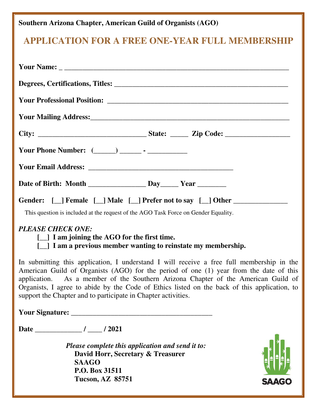## **Southern Arizona Chapter, American Guild of Organists (AGO)**

## **APPLICATION FOR A FREE ONE-YEAR FULL MEMBERSHIP**

| Gender: [_] Female [_] Male [_] Prefer not to say [_] Other ____________________<br>This question is included at the request of the AGO Task Force on Gender Equality.                                                                                                                                                                                                                                                                    |
|-------------------------------------------------------------------------------------------------------------------------------------------------------------------------------------------------------------------------------------------------------------------------------------------------------------------------------------------------------------------------------------------------------------------------------------------|
| <b>PLEASE CHECK ONE:</b><br>[11] I am joining the AGO for the first time.<br>[_] I am a previous member wanting to reinstate my membership.                                                                                                                                                                                                                                                                                               |
| In submitting this application, I understand I will receive a free full membership in the<br>American Guild of Organists (AGO) for the period of one (1) year from the date of this<br>application. As a member of the Southern Arizona Chapter of the American Guild of<br>Organists, I agree to abide by the Code of Ethics listed on the back of this application, to<br>support the Chapter and to participate in Chapter activities. |
|                                                                                                                                                                                                                                                                                                                                                                                                                                           |
|                                                                                                                                                                                                                                                                                                                                                                                                                                           |
| Please complete this application and send it to:<br>David Horr, Secretary & Treasurer<br><b>SAAGO</b><br>P.O. Box 31511<br><b>Tucson, AZ 85751</b><br><b>SAAGO</b>                                                                                                                                                                                                                                                                        |